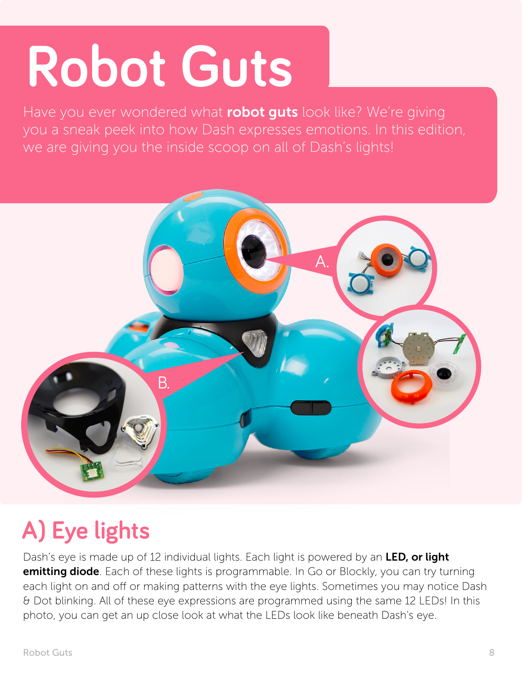## **Robot Guts**

Have you ever wondered what robot guts look like? We're giving you a sneak peek into how Dash expresses emotions. In this edition, we are giving you the inside scoop on all of Dash's lights!



## **A) Eye lights**

Dash's eye is made up of 12 individual lights. Each light is powered by an LED, or light **emitting diode**. Each of these lights is programmable. In Go or Blockly, you can try turning each light on and off or making patterns with the eye lights. Sometimes you may notice Dash & Dot blinking. All of these eye expressions are programmed using the same 12 LEDs! In this photo, you can get an up close look at what the LEDs look like beneath Dash's eye.